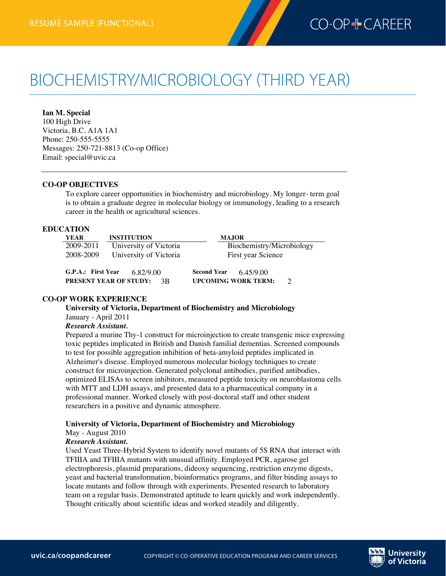

# BIOCHEMISTRY/MICROBIOLOGY (THIRD YEAR)

**Ian M. Special** 100 High Drive Victoria, B.C. A1A 1A1 Phone: 250-555-5555 Messages: 250-721-8813 (Co-op Office) Email: special@uvic.ca

#### **CO-OP OBJECTIVES**

**Biochemistry/Microbiologyrésumé (third year)—functional**

To explore career opportunities in biochemistry and microbiology. My longer- term goal is to obtain a graduate degree in molecular biology or immunology, leading to a research career in the health or agricultural sciences.

## **EDUCATION**

| <b>YEAR</b>        | <b>INSTITUTION</b>                               | <b>MAJOR</b>                                                                   |
|--------------------|--------------------------------------------------|--------------------------------------------------------------------------------|
| 2009-2011          | University of Victoria                           | Biochemistry/Microbiology                                                      |
| 2008-2009          | University of Victoria                           | First year Science                                                             |
| G.P.A.: First Year | 6.82/9.00<br><b>PRESENT YEAR OF STUDY:</b><br>3R | <b>Second Year</b><br>6.45/9.00<br><b>UPCOMING WORK TERM:</b><br>$\mathcal{D}$ |

#### **CO-OP WORK EXPERIENCE**

# **University of Victoria, Department of Biochemistry and Microbiology**

January - April 2011

# *Research Assistant.*

Prepared a murine Thy-1 construct for microinjection to create transgenic mice expressing toxic peptides implicated in British and Danish familial dementias. Screened compounds to test for possible aggregation inhibition of beta-amyloid peptides implicated in Alzheimer's disease. Employed numerous molecular biology techniques to create construct for microinjection. Generated polyclonal antibodies, purified antibodies, optimized ELISAs to screen inhibitors, measured peptide toxicity on neuroblastoma cells with MTT and LDH assays, and presented data to a pharmaceutical company in a professional manner. Worked closely with post-doctoral staff and other student researchers in a positive and dynamic atmosphere.

#### **University of Victoria, Department of Biochemistry and Microbiology** May - August 2010

#### *Research Assistant.*

Used Yeast Three-Hybrid System to identify novel mutants of 5S RNA that interact with TFIIIA and TFIIIA mutants with unusual affinity. Employed PCR, agarose gel electrophoresis, plasmid preparations, dideoxy sequencing, restriction enzyme digests, yeast and bacterial transformation, bioinformatics programs, and filter binding assays to locate mutants and follow through with experiments. Presented research to laboratory team on a regular basis. Demonstrated aptitude to learn quickly and work independently. Thought critically about scientific ideas and worked steadily and diligently.

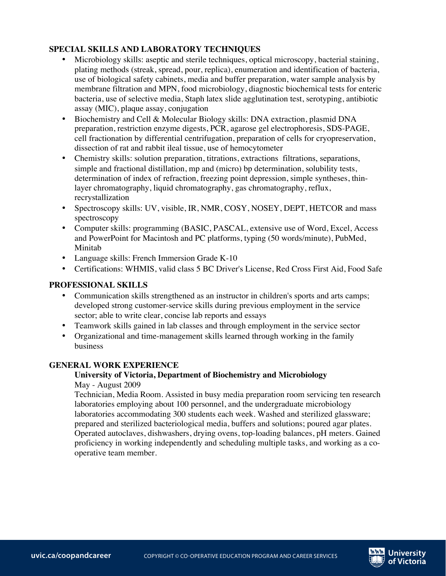# **SPECIAL SKILLS AND LABORATORY TECHNIQUES**

- Microbiology skills: aseptic and sterile techniques, optical microscopy, bacterial staining, plating methods (streak, spread, pour, replica), enumeration and identification of bacteria, use of biological safety cabinets, media and buffer preparation, water sample analysis by membrane filtration and MPN, food microbiology, diagnostic biochemical tests for enteric bacteria, use of selective media, Staph latex slide agglutination test, serotyping, antibiotic assay (MIC), plaque assay, conjugation
- Biochemistry and Cell & Molecular Biology skills: DNA extraction, plasmid DNA preparation, restriction enzyme digests, PCR, agarose gel electrophoresis, SDS-PAGE, cell fractionation by differential centrifugation, preparation of cells for cryopreservation, dissection of rat and rabbit ileal tissue, use of hemocytometer
- Chemistry skills: solution preparation, titrations, extractions filtrations, separations, simple and fractional distillation, mp and (micro) bp determination, solubility tests, determination of index of refraction, freezing point depression, simple syntheses, thinlayer chromatography, liquid chromatography, gas chromatography, reflux, recrystallization
- Spectroscopy skills: UV, visible, IR, NMR, COSY, NOSEY, DEPT, HETCOR and mass spectroscopy
- Computer skills: programming (BASIC, PASCAL, extensive use of Word, Excel, Access and PowerPoint for Macintosh and PC platforms, typing (50 words/minute), PubMed, Minitab
- Language skills: French Immersion Grade K-10
- Certifications: WHMIS, valid class 5 BC Driver's License, Red Cross First Aid, Food Safe

# **PROFESSIONAL SKILLS**

- Communication skills strengthened as an instructor in children's sports and arts camps; developed strong customer-service skills during previous employment in the service sector; able to write clear, concise lab reports and essays
- Teamwork skills gained in lab classes and through employment in the service sector
- Organizational and time-management skills learned through working in the family business

# **GENERAL WORK EXPERIENCE**

# **University of Victoria, Department of Biochemistry and Microbiology**

May - August 2009

Technician, Media Room. Assisted in busy media preparation room servicing ten research laboratories employing about 100 personnel, and the undergraduate microbiology laboratories accommodating 300 students each week. Washed and sterilized glassware; prepared and sterilized bacteriological media, buffers and solutions; poured agar plates. Operated autoclaves, dishwashers, drying ovens, top-loading balances, pH meters. Gained proficiency in working independently and scheduling multiple tasks, and working as a cooperative team member.